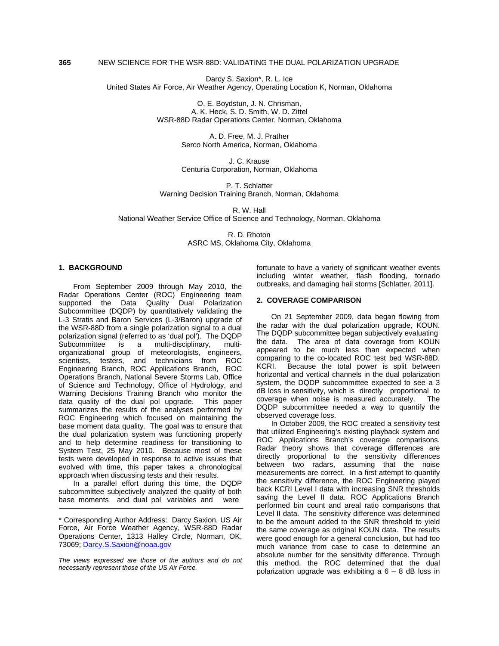# **365** NEW SCIENCE FOR THE WSR-88D: VALIDATING THE DUAL POLARIZATION UPGRADE

Darcy S. Saxion\*, R. L. Ice United States Air Force, Air Weather Agency, Operating Location K, Norman, Oklahoma

> O. E. Boydstun, J. N. Chrisman, A. K. Heck, S. D. Smith, W. D. Zittel WSR-88D Radar Operations Center, Norman, Oklahoma

> > A. D. Free, M. J. Prather Serco North America, Norman, Oklahoma

> > J. C. Krause Centuria Corporation, Norman, Oklahoma

P. T. Schlatter Warning Decision Training Branch, Norman, Oklahoma

R. W. Hall

National Weather Service Office of Science and Technology, Norman, Oklahoma

R. D. Rhoton ASRC MS, Oklahoma City, Oklahoma

### **1. BACKGROUND**

From September 2009 through May 2010, the Radar Operations Center (ROC) Engineering team supported the Data Quality Dual Polarization Subcommittee (DQDP) by quantitatively validating the L-3 Stratis and Baron Services (L-3/Baron) upgrade of the WSR-88D from a single polarization signal to a dual polarization signal (referred to as 'dual pol'). The DQDP Subcommittee is a multi-disciplinary, multiorganizational group of meteorologists, engineers, scientists, testers, and technicians from ROC Engineering Branch, ROC Applications Branch, ROC Operations Branch, National Severe Storms Lab, Office of Science and Technology, Office of Hydrology, and Warning Decisions Training Branch who monitor the data quality of the dual pol upgrade. This paper summarizes the results of the analyses performed by ROC Engineering which focused on maintaining the base moment data quality. The goal was to ensure that the dual polarization system was functioning properly and to help determine readiness for transitioning to System Test, 25 May 2010. Because most of these tests were developed in response to active issues that evolved with time, this paper takes a chronological approach when discussing tests and their results.

In a parallel effort during this time, the DQDP subcommittee subjectively analyzed the quality of both base moments and dual pol variables and were

fortunate to have a variety of significant weather events including winter weather, flash flooding, tornado outbreaks, and damaging hail storms [Schlatter, 2011].

# **2. COVERAGE COMPARISON**

On 21 September 2009, data began flowing from the radar with the dual polarization upgrade, KOUN. The DQDP subcommittee began subjectively evaluating the data. The area of data coverage from KOUN appeared to be much less than expected when comparing to the co-located ROC test bed WSR-88D, KCRI. Because the total power is split between horizontal and vertical channels in the dual polarization system, the DQDP subcommittee expected to see a 3 dB loss in sensitivity, which is directly proportional to coverage when noise is measured accurately. The DQDP subcommittee needed a way to quantify the observed coverage loss.

In October 2009, the ROC created a sensitivity test that utilized Engineering's existing playback system and ROC Applications Branch's coverage comparisons. Radar theory shows that coverage differences are directly proportional to the sensitivity differences between two radars, assuming that the noise measurements are correct. In a first attempt to quantify the sensitivity difference, the ROC Engineering played back KCRI Level I data with increasing SNR thresholds saving the Level II data. ROC Applications Branch performed bin count and areal ratio comparisons that Level II data. The sensitivity difference was determined to be the amount added to the SNR threshold to yield the same coverage as original KOUN data. The results were good enough for a general conclusion, but had too much variance from case to case to determine an absolute number for the sensitivity difference. Through this method, the ROC determined that the dual polarization upgrade was exhibiting a  $6 - 8$  dB loss in

<sup>\*</sup> Corresponding Author Address: Darcy Saxion, US Air Force, Air Force Weather Agency, WSR-88D Radar Operations Center, 1313 Halley Circle, Norman, OK, 73069; Darcy.S.Saxion@noaa.gov

*The views expressed are those of the authors and do not necessarily represent those of the US Air Force.*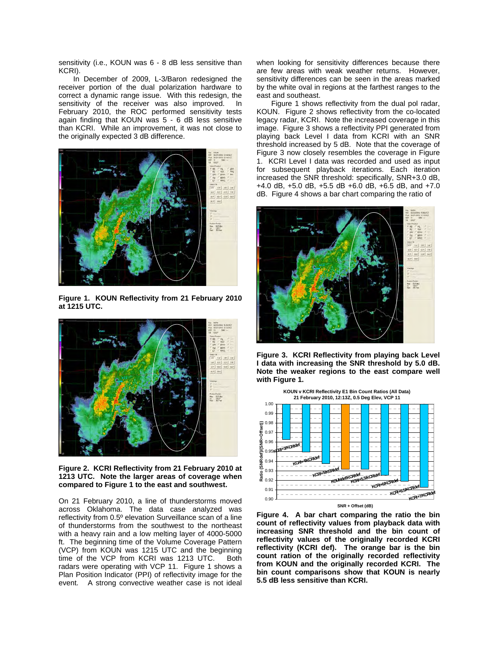sensitivity (i.e., KOUN was 6 - 8 dB less sensitive than KCRI).

In December of 2009, L-3/Baron redesigned the receiver portion of the dual polarization hardware to correct a dynamic range issue. With this redesign, the sensitivity of the receiver was also improved. In February 2010, the ROC performed sensitivity tests again finding that KOUN was 5 - 6 dB less sensitive than KCRI. While an improvement, it was not close to the originally expected 3 dB difference.



**Figure 1. KOUN Reflectivity from 21 February 2010 at 1215 UTC.** 



**Figure 2. KCRI Reflectivity from 21 February 2010 at 1213 UTC. Note the larger areas of coverage when compared to Figure 1 to the east and southwest.** 

On 21 February 2010, a line of thunderstorms moved across Oklahoma. The data case analyzed was reflectivity from 0.5º elevation Surveillance scan of a line of thunderstorms from the southwest to the northeast with a heavy rain and a low melting layer of 4000-5000 ft. The beginning time of the Volume Coverage Pattern (VCP) from KOUN was 1215 UTC and the beginning time of the VCP from KCRI was 1213 UTC. Both radars were operating with VCP 11. Figure 1 shows a Plan Position Indicator (PPI) of reflectivity image for the event. A strong convective weather case is not ideal

when looking for sensitivity differences because there are few areas with weak weather returns. However, sensitivity differences can be seen in the areas marked by the white oval in regions at the farthest ranges to the east and southeast.

Figure 1 shows reflectivity from the dual pol radar, KOUN. Figure 2 shows reflectivity from the co-located legacy radar, KCRI. Note the increased coverage in this image. Figure 3 shows a reflectivity PPI generated from playing back Level I data from KCRI with an SNR threshold increased by 5 dB. Note that the coverage of Figure 3 now closely resembles the coverage in Figure 1. KCRI Level I data was recorded and used as input for subsequent playback iterations. Each iteration increased the SNR threshold: specifically, SNR+3.0 dB, +4.0 dB, +5.0 dB, +5.5 dB +6.0 dB, +6.5 dB, and +7.0 dB. Figure 4 shows a bar chart comparing the ratio of



**Figure 3. KCRI Reflectivity from playing back Level I data with increasing the SNR threshold by 5.0 dB. Note the weaker regions to the east compare well with Figure 1.** 



**Figure 4. A bar chart comparing the ratio the bin count of reflectivity values from playback data with increasing SNR threshold and the bin count of reflectivity values of the originally recorded KCRI reflectivity (KCRI def). The orange bar is the bin count ration of the originally recorded reflectivity from KOUN and the originally recorded KCRI. The bin count comparisons show that KOUN is nearly 5.5 dB less sensitive than KCRI.**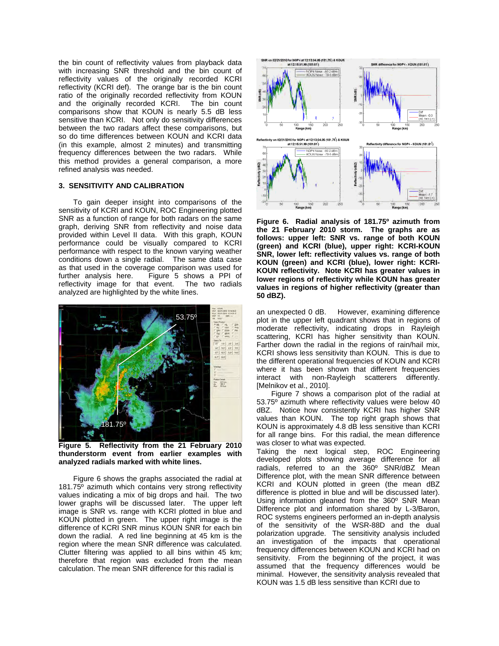the bin count of reflectivity values from playback data with increasing SNR threshold and the bin count of reflectivity values of the originally recorded KCRI reflectivity (KCRI def). The orange bar is the bin count ratio of the originally recorded reflectivity from KOUN and the originally recorded KCRI. The bin count comparisons show that KOUN is nearly 5.5 dB less sensitive than KCRI. Not only do sensitivity differences between the two radars affect these comparisons, but so do time differences between KOUN and KCRI data (in this example, almost 2 minutes) and transmitting frequency differences between the two radars. While this method provides a general comparison, a more refined analysis was needed.

## **3. SENSITIVITY AND CALIBRATION**

To gain deeper insight into comparisons of the sensitivity of KCRI and KOUN, ROC Engineering plotted SNR as a function of range for both radars on the same graph, deriving SNR from reflectivity and noise data provided within Level II data. With this graph, KOUN performance could be visually compared to KCRI performance with respect to the known varying weather conditions down a single radial. The same data case as that used in the coverage comparison was used for further analysis here. Figure 5 shows a PPI of reflectivity image for that event. The two radials analyzed are highlighted by the white lines.



**Figure 5. Reflectivity from the 21 February 2010 thunderstorm event from earlier examples with analyzed radials marked with white lines.** 

Figure 6 shows the graphs associated the radial at 181.75º azimuth which contains very strong reflectivity values indicating a mix of big drops and hail. The two lower graphs will be discussed later. The upper left image is SNR vs. range with KCRI plotted in blue and KOUN plotted in green. The upper right image is the difference of KCRI SNR minus KOUN SNR for each bin down the radial. A red line beginning at 45 km is the region where the mean SNR difference was calculated. Clutter filtering was applied to all bins within 45 km; therefore that region was excluded from the mean calculation. The mean SNR difference for this radial is



**Figure 6. Radial analysis of 181.75º azimuth from the 21 February 2010 storm. The graphs are as follows: upper left: SNR vs. range of both KOUN (green) and KCRI (blue), upper right: KCRI-KOUN SNR, lower left: reflectivity values vs. range of both KOUN (green) and KCRI (blue), lower right: KCRI-KOUN reflectivity. Note KCRI has greater values in lower regions of reflectivity while KOUN has greater values in regions of higher reflectivity (greater than 50 dBZ).** 

an unexpected 0 dB. However, examining difference plot in the upper left quadrant shows that in regions of moderate reflectivity, indicating drops in Rayleigh scattering, KCRI has higher sensitivity than KOUN. Farther down the radial in the regions of rain/hail mix, KCRI shows less sensitivity than KOUN. This is due to the different operational frequencies of KOUN and KCRI where it has been shown that different frequencies interact with non-Rayleigh scatterers differently. [Melnikov et al., 2010].

Figure 7 shows a comparison plot of the radial at 53.75º azimuth where reflectivity values were below 40 dBZ. Notice how consistently KCRI has higher SNR values than KOUN. The top right graph shows that KOUN is approximately 4.8 dB less sensitive than KCRI for all range bins. For this radial, the mean difference was closer to what was expected.

Taking the next logical step, ROC Engineering developed plots showing average difference for all radials, referred to an the 360º SNR/dBZ Mean Difference plot, with the mean SNR difference between KCRI and KOUN plotted in green (the mean dBZ difference is plotted in blue and will be discussed later). Using information gleaned from the 360º SNR Mean Difference plot and information shared by L-3/Baron, ROC systems engineers performed an in-depth analysis of the sensitivity of the WSR-88D and the dual polarization upgrade. The sensitivity analysis included an investigation of the impacts that operational frequency differences between KOUN and KCRI had on sensitivity. From the beginning of the project, it was assumed that the frequency differences would be minimal. However, the sensitivity analysis revealed that KOUN was 1.5 dB less sensitive than KCRI due to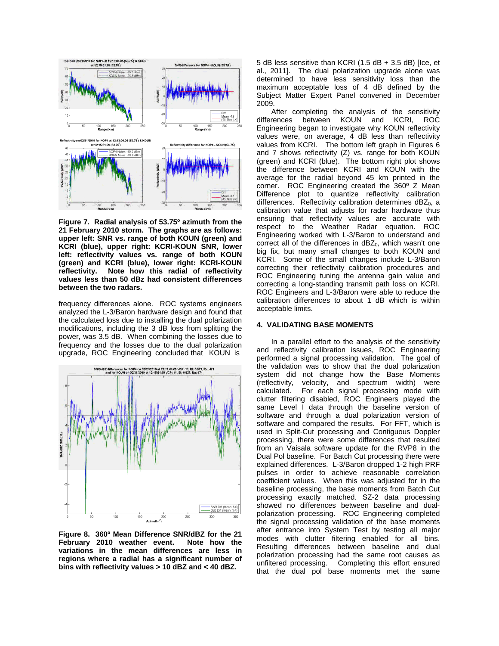

**Figure 7. Radial analysis of 53.75º azimuth from the 21 February 2010 storm. The graphs are as follows: upper left: SNR vs. range of both KOUN (green) and KCRI (blue), upper right: KCRI-KOUN SNR, lower left: reflectivity values vs. range of both KOUN (green) and KCRI (blue), lower right: KCRI-KOUN reflectivity. Note how this radial of reflectivity values less than 50 dBz had consistent differences between the two radars.** 

frequency differences alone. ROC systems engineers analyzed the L-3/Baron hardware design and found that the calculated loss due to installing the dual polarization modifications, including the 3 dB loss from splitting the power, was 3.5 dB. When combining the losses due to frequency and the losses due to the dual polarization upgrade, ROC Engineering concluded that KOUN is



**Figure 8. 360º Mean Difference SNR/dBZ for the 21 February 2010 weather event. Note how the variations in the mean differences are less in regions where a radial has a significant number of bins with reflectivity values > 10 dBZ and < 40 dBZ.** 

5 dB less sensitive than KCRI (1.5 dB + 3.5 dB) [Ice, et al., 2011]. The dual polarization upgrade alone was determined to have less sensitivity loss than the maximum acceptable loss of 4  $\overrightarrow{dB}$  defined by the Subject Matter Expert Panel convened in December 2009.

After completing the analysis of the sensitivity differences between KOUN and KCRI, ROC Engineering began to investigate why KOUN reflectivity values were, on average, 4 dB less than reflectivity values from KCRI. The bottom left graph in Figures 6 and 7 shows reflectivity (Z) vs. range for both KOUN (green) and KCRI (blue). The bottom right plot shows the difference between KCRI and KOUN with the average for the radial beyond 45 km printed in the corner. ROC Engineering created the 360º Z Mean Difference plot to quantize reflectivity calibration differences. Reflectivity calibration determines  $dBZ_0$ , a calibration value that adjusts for radar hardware thus ensuring that reflectivity values are accurate with respect to the Weather Radar equation. ROC Engineering worked with L-3/Baron to understand and correct all of the differences in  $dBZ<sub>0</sub>$ , which wasn't one big fix, but many small changes to both KOUN and KCRI. Some of the small changes include L-3/Baron correcting their reflectivity calibration procedures and ROC Engineering tuning the antenna gain value and correcting a long-standing transmit path loss on KCRI. ROC Engineers and L-3/Baron were able to reduce the calibration differences to about 1 dB which is within acceptable limits.

#### **4. VALIDATING BASE MOMENTS**

In a parallel effort to the analysis of the sensitivity and reflectivity calibration issues, ROC Engineering performed a signal processing validation. The goal of the validation was to show that the dual polarization system did not change how the Base Moments (reflectivity, velocity, and spectrum width) were calculated. For each signal processing mode with clutter filtering disabled, ROC Engineers played the same Level I data through the baseline version of software and through a dual polarization version of software and compared the results. For FFT, which is used in Split-Cut processing and Contiguous Doppler processing, there were some differences that resulted from an Vaisala software update for the RVP8 in the Dual Pol baseline. For Batch Cut processing there were explained differences. L-3/Baron dropped 1-2 high PRF pulses in order to achieve reasonable correlation coefficient values. When this was adjusted for in the baseline processing, the base moments from Batch Cut processing exactly matched. SZ-2 data processing showed no differences between baseline and dualpolarization processing. ROC Engineering completed the signal processing validation of the base moments after entrance into System Test by testing all major modes with clutter filtering enabled for all bins. Resulting differences between baseline and dual polarization processing had the same root causes as unfiltered processing. Completing this effort ensured that the dual pol base moments met the same